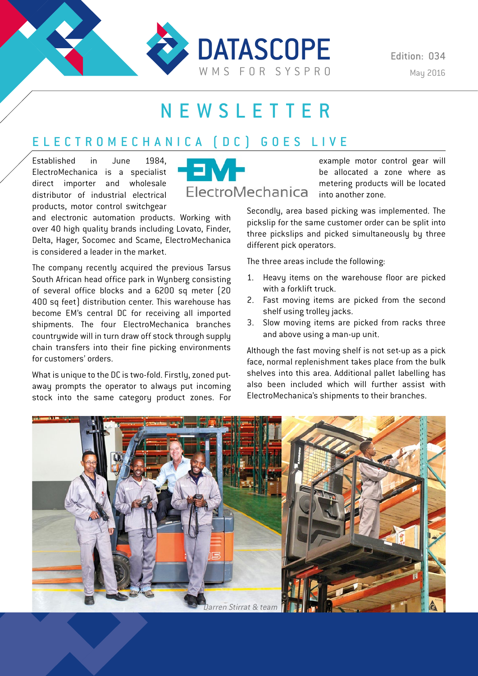

# NEWSLETTER

## ELECTROMECHANICA (DC) GOES LIVE

Established in June 1984, ElectroMechanica is a specialist direct importer and wholesale distributor of industrial electrical products, motor control switchgear

is considered a leader in the market.

for customers' orders.

and electronic automation products. Working with over 40 high quality brands including Lovato, Finder, Delta, Hager, Socomec and Scame, ElectroMechanica

The company recently acquired the previous Tarsus South African head office park in Wunberg consisting of several office blocks and a 6200 sq meter (20 400 sq feet) distribution center. This warehouse has become EM's central DC for receiving all imported shipments. The four ElectroMechanica branches countrywide will in turn draw off stock through supply chain transfers into their fine picking environments

What is unique to the DC is two-fold. Firstly, zoned putaway prompts the operator to always put incoming stock into the same category product zones. For



example motor control gear will be allocated a zone where as metering products will be located into another zone.

Secondly, area based picking was implemented. The pickslip for the same customer order can be split into three pickslips and picked simultaneously by three different pick operators.

The three areas include the following:

- 1. Heavu items on the warehouse floor are picked with a forklift truck.
- 2. Fast moving items are picked from the second shelf using trolley jacks.
- 3. Slow moving items are picked from racks three and above using a man-up unit.

Although the fast moving shelf is not set-up as a pick face, normal replenishment takes place from the bulk shelves into this area. Additional pallet labelling has also been included which will further assist with ElectroMechanica's shipments to their branches.

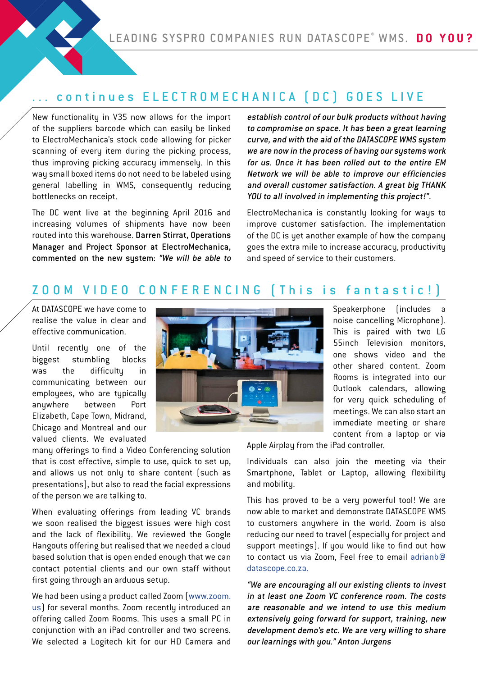#### continues ELECTROMECHANICA (DC) GOES LIVE

New functionality in V35 now allows for the import of the suppliers barcode which can easily be linked to ElectroMechanica's stock code allowing for picker scanning of every item during the picking process, thus improving picking accuracy immensely. In this way small boxed items do not need to be labeled using general labelling in WMS, consequently reducing bottlenecks on receipt.

The DC went live at the beginning April 2016 and increasing volumes of shipments have now been routed into this warehouse. Darren Stirrat, Operations Manager and Project Sponsor at ElectroMechanica, commented on the new system: "We will be able to establish control of our bulk products without having to compromise on space. It has been a great learning curve, and with the aid of the DATASCOPE WMS system we are now in the process of having our systems work for us. Once it has been rolled out to the entire EM Network we will be able to improve our efficiencies and overall customer satisfaction. A great big THANK YOU to all involved in implementing this project!".

ElectroMechanica is constantly looking for ways to improve customer satisfaction. The implementation of the DC is yet another example of how the company goes the extra mile to increase accuracy, productivity and speed of service to their customers.

## ZOOM VIDEO CONFERENCING (This is fantastic!)

At DATASCOPE we have come to realise the value in clear and effective communication.

Until recently one of the biggest stumbling blocks was the difficulty in communicating between our employees, who are typically anywhere between Port Elizabeth, Cape Town, Midrand, Chicago and Montreal and our valued clients. We evaluated

many offerings to find a Video Conferencing solution that is cost effective, simple to use, quick to set up, and allows us not only to share content (such as presentations), but also to read the facial expressions of the person we are talking to.

When evaluating offerings from leading VC brands we soon realised the biggest issues were high cost and the lack of flexibility. We reviewed the Google Hangouts offering but realised that we needed a cloud based solution that is open ended enough that we can contact potential clients and our own staff without first going through an arduous setup.

We had been using a product called Zoom (www.zoom. us) for several months. Zoom recently introduced an offering called Zoom Rooms. This uses a small PC in conjunction with an iPad controller and two screens. We selected a Logitech kit for our HD Camera and



Speakerphone (includes a noise cancelling Microphone). This is paired with two LG 55inch Television monitors, one shows video and the other shared content. Zoom Rooms is integrated into our Outlook calendars, allowing for very quick scheduling of meetings. We can also start an immediate meeting or share content from a laptop or via

Apple Airplay from the iPad controller.

Individuals can also join the meeting via their Smartphone, Tablet or Laptop, allowing flexibility and mobility.

This has proved to be a very powerful tool! We are now able to market and demonstrate DATASCOPE WMS to customers anywhere in the world. Zoom is also reducing our need to travel (especially for project and support meetings). If you would like to find out how to contact us via Zoom, Feel free to email adrianb@ datascope.co.za.

"We are encouraging all our existing clients to invest in at least one Zoom VC conference room. The costs are reasonable and we intend to use this medium extensively going forward for support, training, new development demo's etc. We are very willing to share our learnings with you." Anton Jurgens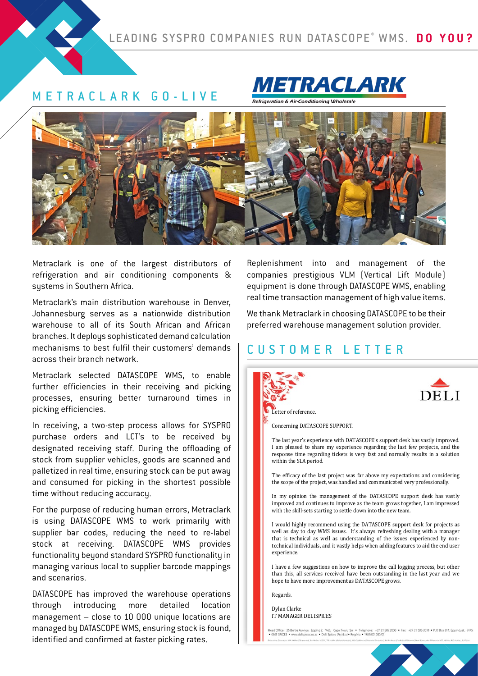#### METRACLARK GO-LIVE





Metraclark is one of the largest distributors of refrigeration and air conditioning components & systems in Southern Africa.

Metraclark's main distribution warehouse in Denver, Johannesburg serves as a nationwide distribution warehouse to all of its South African and African branches. It deploys sophisticated demand calculation mechanisms to best fulfil their customers' demands across their branch network.

Metraclark selected DATASCOPE WMS, to enable further efficiencies in their receiving and picking processes, ensuring better turnaround times in picking efficiencies.

In receiving, a two-step process allows for SYSPRO purchase orders and LCT's to be received by designated receiving staff. During the offloading of stock from supplier vehicles, goods are scanned and palletized in real time, ensuring stock can be put away and consumed for picking in the shortest possible time without reducing accuracy.

For the purpose of reducing human errors, Metraclark is using DATASCOPE WMS to work primarily with supplier bar codes, reducing the need to re-label stock at receiving. DATASCOPE WMS provides functionality beyond standard SYSPRO functionality in managing various local to supplier barcode mappings and scenarios.

DATASCOPE has improved the warehouse operations through introducing more detailed location management – close to 10 000 unique locations are managed by DATASCOPE WMS, ensuring stock is found, identified and confirmed at faster picking rates.

Replenishment into and management of the companies prestigious VLM (Vertical Lift Module) equipment is done through DATASCOPE WMS, enabling real time transaction management of high value items.

We thank Metraclark in choosing DATASCOPE to be their preferred warehouse management solution provider.

## CUSTOMER LETTER





Letter of reference.

The last year's experience with DATASCOPE's support desk has vastly improved. Concerning DATASCOPE SUPPORT.

.<br>The last year's experience with DATASCOPE's support desk has vastly improved. I am pleased to share my experience regarding the last few projects, and the response time regarding tickets is very fast and normally results in a solution within the SLA period.

The efficacy of the last project was far above my expectations and considering the scope of the project, was handled and communicated very professionally.

In my opinion the management of the DATASCOPE support desk has vastly improved and continues to improve as the team grows together, I am impressed with the skill-sets starting to settle down into the new team.

I would highly recommend using the DATASCOPE support desk for projects as well as day to day WMS issues. It's always refreshing dealing with a manager that is technical as well as understanding or the issues experienced by non-<br>technical individuals, and it vastly helps when adding features to aid the end user  $r$  the skill-sets starting to set  $s$  starting the new team. that is technical as well as understanding of the issues experienced by non-Regards. experience.

I have a few suggestions on how to improve the call logging process, but other than this, all services received have been outstanding in the last year and we hope to have more improvement as DATASCOPE grows. experience.

Regards.  $\mathbf{R}$  is a few suggestions on  $\mathbf{R}$  in the call logging problem prove the call logging problem prove the call logging problem prove the call logging problem prove the call logging problem prove the call logging prob

 $t$  than the last year and we see very cell services received have been outstanding in the last year and we see  $t$ hope to have more improvement as DATASCOPE grows. IT MANAGER DELISPICES Dylan Clarke more improvement as DATASCOPE grows.

od Office: 25 Bertie Avenue, Epping 2, i<br>1861 SPICES . www.delispices.co.za . De Ites: WA Haller (Chairmard, RA Haller (CEC), TA Haller